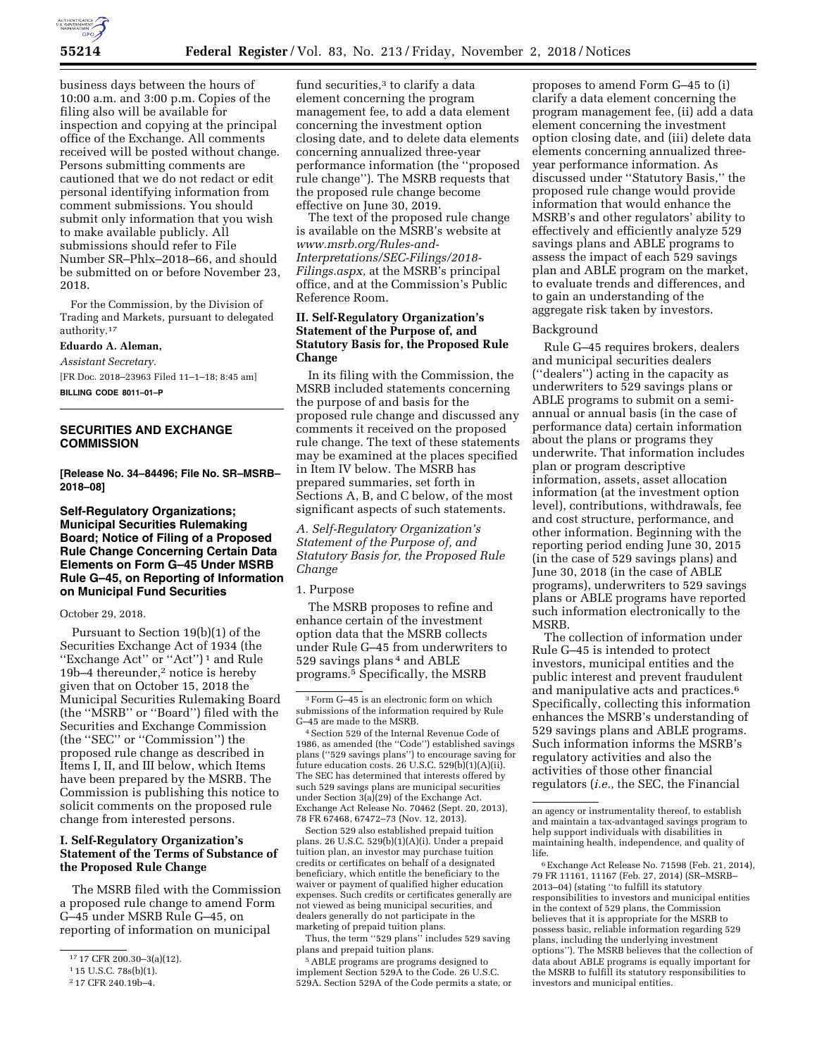

business days between the hours of 10:00 a.m. and 3:00 p.m. Copies of the filing also will be available for inspection and copying at the principal office of the Exchange. All comments received will be posted without change. Persons submitting comments are cautioned that we do not redact or edit personal identifying information from comment submissions. You should submit only information that you wish to make available publicly. All submissions should refer to File Number SR–Phlx–2018–66, and should be submitted on or before November 23, 2018.

For the Commission, by the Division of Trading and Markets, pursuant to delegated authority.17

## **Eduardo A. Aleman,**

*Assistant Secretary.* 

[FR Doc. 2018–23963 Filed 11–1–18; 8:45 am] **BILLING CODE 8011–01–P** 

## **SECURITIES AND EXCHANGE COMMISSION**

**[Release No. 34–84496; File No. SR–MSRB– 2018–08]** 

## **Self-Regulatory Organizations; Municipal Securities Rulemaking Board; Notice of Filing of a Proposed Rule Change Concerning Certain Data Elements on Form G–45 Under MSRB Rule G–45, on Reporting of Information on Municipal Fund Securities**

#### October 29, 2018.

Pursuant to Section 19(b)(1) of the Securities Exchange Act of 1934 (the "Exchange Act" or "Act")<sup>1</sup> and Rule 19b–4 thereunder,2 notice is hereby given that on October 15, 2018 the Municipal Securities Rulemaking Board (the ''MSRB'' or ''Board'') filed with the Securities and Exchange Commission (the ''SEC'' or ''Commission'') the proposed rule change as described in Items I, II, and III below, which Items have been prepared by the MSRB. The Commission is publishing this notice to solicit comments on the proposed rule change from interested persons.

## **I. Self-Regulatory Organization's Statement of the Terms of Substance of the Proposed Rule Change**

The MSRB filed with the Commission a proposed rule change to amend Form G–45 under MSRB Rule G–45, on reporting of information on municipal

fund securities,<sup>3</sup> to clarify a data element concerning the program management fee, to add a data element concerning the investment option closing date, and to delete data elements concerning annualized three-year performance information (the ''proposed rule change''). The MSRB requests that the proposed rule change become effective on June 30, 2019.

The text of the proposed rule change is available on the MSRB's website at *[www.msrb.org/Rules-and-](http://www.msrb.org/Rules-and-Interpretations/SEC-Filings/2018-Filings.aspx)[Interpretations/SEC-Filings/2018-](http://www.msrb.org/Rules-and-Interpretations/SEC-Filings/2018-Filings.aspx) [Filings.aspx,](http://www.msrb.org/Rules-and-Interpretations/SEC-Filings/2018-Filings.aspx)* at the MSRB's principal office, and at the Commission's Public Reference Room.

### **II. Self-Regulatory Organization's Statement of the Purpose of, and Statutory Basis for, the Proposed Rule Change**

In its filing with the Commission, the MSRB included statements concerning the purpose of and basis for the proposed rule change and discussed any comments it received on the proposed rule change. The text of these statements may be examined at the places specified in Item IV below. The MSRB has prepared summaries, set forth in Sections A, B, and C below, of the most significant aspects of such statements.

*A. Self-Regulatory Organization's Statement of the Purpose of, and Statutory Basis for, the Proposed Rule Change* 

## 1. Purpose

The MSRB proposes to refine and enhance certain of the investment option data that the MSRB collects under Rule G–45 from underwriters to 529 savings plans 4 and ABLE programs.5 Specifically, the MSRB

Section 529 also established prepaid tuition plans. 26 U.S.C. 529(b)(1)(A)(i). Under a prepaid tuition plan, an investor may purchase tuition credits or certificates on behalf of a designated beneficiary, which entitle the beneficiary to the waiver or payment of qualified higher education expenses. Such credits or certificates generally are not viewed as being municipal securities, and dealers generally do not participate in the marketing of prepaid tuition plans.

Thus, the term ''529 plans'' includes 529 saving plans and prepaid tuition plans.

5ABLE programs are programs designed to implement Section 529A to the Code. 26 U.S.C. 529A. Section 529A of the Code permits a state, or

proposes to amend Form G–45 to (i) clarify a data element concerning the program management fee, (ii) add a data element concerning the investment option closing date, and (iii) delete data elements concerning annualized threeyear performance information. As discussed under ''Statutory Basis,'' the proposed rule change would provide information that would enhance the MSRB's and other regulators' ability to effectively and efficiently analyze 529 savings plans and ABLE programs to assess the impact of each 529 savings plan and ABLE program on the market, to evaluate trends and differences, and to gain an understanding of the aggregate risk taken by investors.

### Background

Rule G–45 requires brokers, dealers and municipal securities dealers (''dealers'') acting in the capacity as underwriters to 529 savings plans or ABLE programs to submit on a semiannual or annual basis (in the case of performance data) certain information about the plans or programs they underwrite. That information includes plan or program descriptive information, assets, asset allocation information (at the investment option level), contributions, withdrawals, fee and cost structure, performance, and other information. Beginning with the reporting period ending June 30, 2015 (in the case of 529 savings plans) and June 30, 2018 (in the case of ABLE programs), underwriters to 529 savings plans or ABLE programs have reported such information electronically to the **MSRB** 

The collection of information under Rule G–45 is intended to protect investors, municipal entities and the public interest and prevent fraudulent and manipulative acts and practices.6 Specifically, collecting this information enhances the MSRB's understanding of 529 savings plans and ABLE programs. Such information informs the MSRB's regulatory activities and also the activities of those other financial regulators (*i.e.,* the SEC, the Financial

<sup>17</sup> 17 CFR 200.30–3(a)(12).

<sup>1</sup> 15 U.S.C. 78s(b)(1).

<sup>2</sup> 17 CFR 240.19b–4.

<sup>3</sup>Form G–45 is an electronic form on which submissions of the information required by Rule G–45 are made to the MSRB.

<sup>4</sup>Section 529 of the Internal Revenue Code of 1986, as amended (the ''Code'') established savings plans (''529 savings plans'') to encourage saving for future education costs. 26 U.S.C. 529(b)(1)(A)(ii). The SEC has determined that interests offered by such 529 savings plans are municipal securities under Section 3(a)(29) of the Exchange Act. Exchange Act Release No. 70462 (Sept. 20, 2013), 78 FR 67468, 67472–73 (Nov. 12, 2013).

an agency or instrumentality thereof, to establish and maintain a tax-advantaged savings program to help support individuals with disabilities in maintaining health, independence, and quality of life.

<sup>6</sup>Exchange Act Release No. 71598 (Feb. 21, 2014), 79 FR 11161, 11167 (Feb. 27, 2014) (SR–MSRB– 2013–04) (stating ''to fulfill its statutory responsibilities to investors and municipal entities in the context of 529 plans, the Commission believes that it is appropriate for the MSRB to possess basic, reliable information regarding 529 plans, including the underlying investment options''). The MSRB believes that the collection of data about ABLE programs is equally important for the MSRB to fulfill its statutory responsibilities to investors and municipal entities.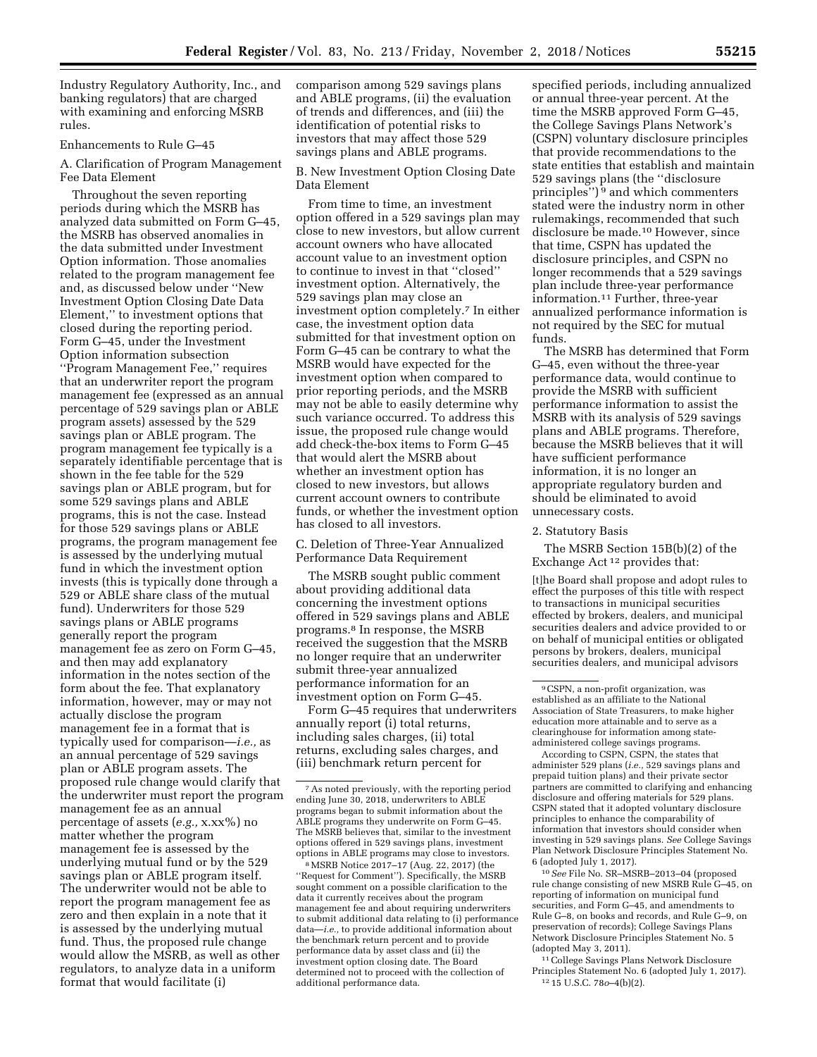Industry Regulatory Authority, Inc., and banking regulators) that are charged with examining and enforcing MSRB rules.

## Enhancements to Rule G–45

A. Clarification of Program Management Fee Data Element

Throughout the seven reporting periods during which the MSRB has analyzed data submitted on Form G–45, the MSRB has observed anomalies in the data submitted under Investment Option information. Those anomalies related to the program management fee and, as discussed below under ''New Investment Option Closing Date Data Element,'' to investment options that closed during the reporting period. Form G–45, under the Investment Option information subsection ''Program Management Fee,'' requires that an underwriter report the program management fee (expressed as an annual percentage of 529 savings plan or ABLE program assets) assessed by the 529 savings plan or ABLE program. The program management fee typically is a separately identifiable percentage that is shown in the fee table for the 529 savings plan or ABLE program, but for some 529 savings plans and ABLE programs, this is not the case. Instead for those 529 savings plans or ABLE programs, the program management fee is assessed by the underlying mutual fund in which the investment option invests (this is typically done through a 529 or ABLE share class of the mutual fund). Underwriters for those 529 savings plans or ABLE programs generally report the program management fee as zero on Form G–45, and then may add explanatory information in the notes section of the form about the fee. That explanatory information, however, may or may not actually disclose the program management fee in a format that is typically used for comparison—*i.e.,* as an annual percentage of 529 savings plan or ABLE program assets. The proposed rule change would clarify that the underwriter must report the program management fee as an annual percentage of assets (*e.g.,* x.xx%) no matter whether the program management fee is assessed by the underlying mutual fund or by the 529 savings plan or ABLE program itself. The underwriter would not be able to report the program management fee as zero and then explain in a note that it is assessed by the underlying mutual fund. Thus, the proposed rule change would allow the MSRB, as well as other regulators, to analyze data in a uniform format that would facilitate (i)

comparison among 529 savings plans and ABLE programs, (ii) the evaluation of trends and differences, and (iii) the identification of potential risks to investors that may affect those 529 savings plans and ABLE programs.

B. New Investment Option Closing Date Data Element

From time to time, an investment option offered in a 529 savings plan may close to new investors, but allow current account owners who have allocated account value to an investment option to continue to invest in that ''closed'' investment option. Alternatively, the 529 savings plan may close an investment option completely.7 In either case, the investment option data submitted for that investment option on Form G–45 can be contrary to what the MSRB would have expected for the investment option when compared to prior reporting periods, and the MSRB may not be able to easily determine why such variance occurred. To address this issue, the proposed rule change would add check-the-box items to Form G–45 that would alert the MSRB about whether an investment option has closed to new investors, but allows current account owners to contribute funds, or whether the investment option has closed to all investors.

C. Deletion of Three-Year Annualized Performance Data Requirement

The MSRB sought public comment about providing additional data concerning the investment options offered in 529 savings plans and ABLE programs.8 In response, the MSRB received the suggestion that the MSRB no longer require that an underwriter submit three-year annualized performance information for an investment option on Form G–45.

Form G–45 requires that underwriters annually report (i) total returns, including sales charges, (ii) total returns, excluding sales charges, and (iii) benchmark return percent for

8MSRB Notice 2017–17 (Aug. 22, 2017) (the ''Request for Comment''). Specifically, the MSRB sought comment on a possible clarification to the data it currently receives about the program management fee and about requiring underwriters to submit additional data relating to (i) performance data—*i.e.,* to provide additional information about the benchmark return percent and to provide performance data by asset class and (ii) the investment option closing date. The Board determined not to proceed with the collection of additional performance data.

specified periods, including annualized or annual three-year percent. At the time the MSRB approved Form G–45, the College Savings Plans Network's (CSPN) voluntary disclosure principles that provide recommendations to the state entities that establish and maintain 529 savings plans (the ''disclosure principles'') 9 and which commenters stated were the industry norm in other rulemakings, recommended that such disclosure be made.10 However, since that time, CSPN has updated the disclosure principles, and CSPN no longer recommends that a 529 savings plan include three-year performance information.11 Further, three-year annualized performance information is not required by the SEC for mutual funds.

The MSRB has determined that Form G–45, even without the three-year performance data, would continue to provide the MSRB with sufficient performance information to assist the MSRB with its analysis of 529 savings plans and ABLE programs. Therefore, because the MSRB believes that it will have sufficient performance information, it is no longer an appropriate regulatory burden and should be eliminated to avoid unnecessary costs.

### 2. Statutory Basis

The MSRB Section 15B(b)(2) of the Exchange Act 12 provides that:

[t]he Board shall propose and adopt rules to effect the purposes of this title with respect to transactions in municipal securities effected by brokers, dealers, and municipal securities dealers and advice provided to or on behalf of municipal entities or obligated persons by brokers, dealers, municipal securities dealers, and municipal advisors

According to CSPN, CSPN, the states that administer 529 plans (*i.e.,* 529 savings plans and prepaid tuition plans) and their private sector partners are committed to clarifying and enhancing disclosure and offering materials for 529 plans. CSPN stated that it adopted voluntary disclosure principles to enhance the comparability of information that investors should consider when investing in 529 savings plans. *See* College Savings Plan Network Disclosure Principles Statement No. 6 (adopted July 1, 2017).

10*See* File No. SR–MSRB–2013–04 (proposed rule change consisting of new MSRB Rule G–45, on reporting of information on municipal fund securities, and Form G–45, and amendments to Rule G–8, on books and records, and Rule G–9, on preservation of records); College Savings Plans Network Disclosure Principles Statement No. 5 (adopted May 3, 2011).

11College Savings Plans Network Disclosure Principles Statement No. 6 (adopted July 1, 2017). 12 15 U.S.C. 78*o*–4(b)(2).

<sup>7</sup>As noted previously, with the reporting period ending June 30, 2018, underwriters to ABLE programs began to submit information about the ABLE programs they underwrite on Form G–45. The MSRB believes that, similar to the investment options offered in 529 savings plans, investment options in ABLE programs may close to investors.

<sup>9</sup>CSPN, a non-profit organization, was established as an affiliate to the National Association of State Treasurers, to make higher education more attainable and to serve as a clearinghouse for information among stateadministered college savings programs.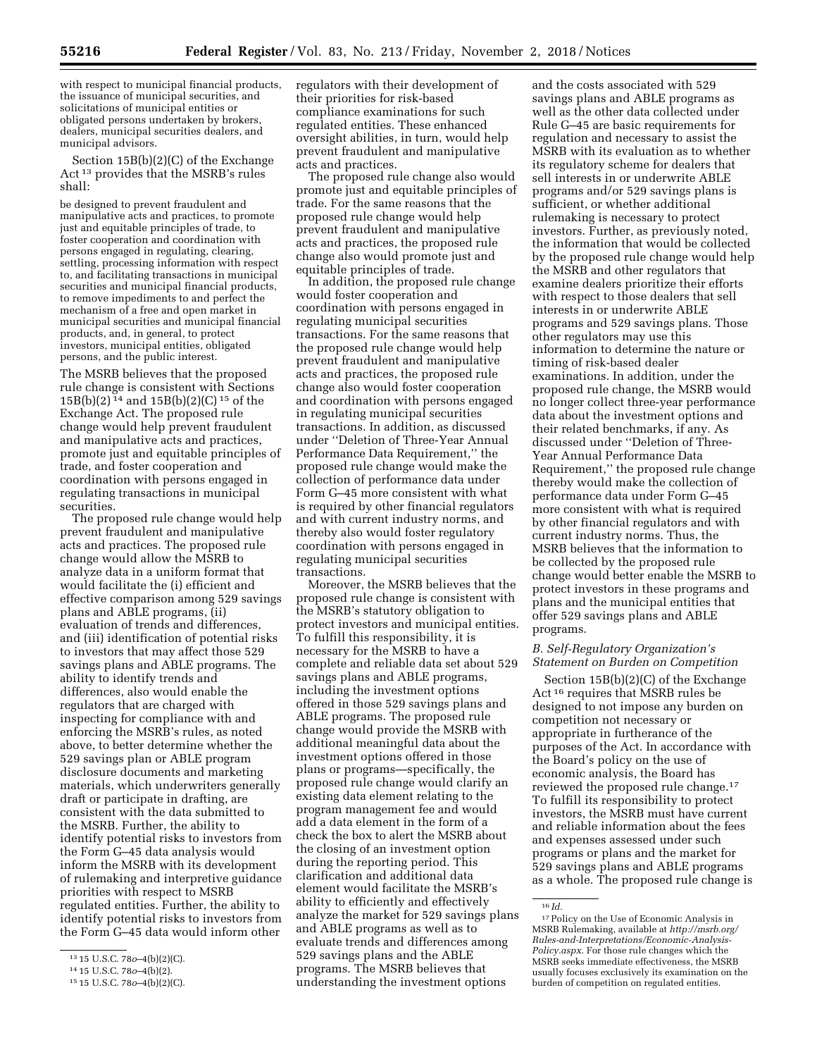with respect to municipal financial products, the issuance of municipal securities, and solicitations of municipal entities or obligated persons undertaken by brokers, dealers, municipal securities dealers, and municipal advisors.

Section 15B(b)(2)(C) of the Exchange Act 13 provides that the MSRB's rules shall:

be designed to prevent fraudulent and manipulative acts and practices, to promote just and equitable principles of trade, to foster cooperation and coordination with persons engaged in regulating, clearing, settling, processing information with respect to, and facilitating transactions in municipal securities and municipal financial products, to remove impediments to and perfect the mechanism of a free and open market in municipal securities and municipal financial products, and, in general, to protect investors, municipal entities, obligated persons, and the public interest.

The MSRB believes that the proposed rule change is consistent with Sections 15B(b)(2) 14 and 15B(b)(2)(C) 15 of the Exchange Act. The proposed rule change would help prevent fraudulent and manipulative acts and practices, promote just and equitable principles of trade, and foster cooperation and coordination with persons engaged in regulating transactions in municipal securities.

The proposed rule change would help prevent fraudulent and manipulative acts and practices. The proposed rule change would allow the MSRB to analyze data in a uniform format that would facilitate the (i) efficient and effective comparison among 529 savings plans and ABLE programs, (ii) evaluation of trends and differences, and (iii) identification of potential risks to investors that may affect those 529 savings plans and ABLE programs. The ability to identify trends and differences, also would enable the regulators that are charged with inspecting for compliance with and enforcing the MSRB's rules, as noted above, to better determine whether the 529 savings plan or ABLE program disclosure documents and marketing materials, which underwriters generally draft or participate in drafting, are consistent with the data submitted to the MSRB. Further, the ability to identify potential risks to investors from the Form G–45 data analysis would inform the MSRB with its development of rulemaking and interpretive guidance priorities with respect to MSRB regulated entities. Further, the ability to identify potential risks to investors from the Form G–45 data would inform other

regulators with their development of their priorities for risk-based compliance examinations for such regulated entities. These enhanced oversight abilities, in turn, would help prevent fraudulent and manipulative acts and practices.

The proposed rule change also would promote just and equitable principles of trade. For the same reasons that the proposed rule change would help prevent fraudulent and manipulative acts and practices, the proposed rule change also would promote just and equitable principles of trade.

In addition, the proposed rule change would foster cooperation and coordination with persons engaged in regulating municipal securities transactions. For the same reasons that the proposed rule change would help prevent fraudulent and manipulative acts and practices, the proposed rule change also would foster cooperation and coordination with persons engaged in regulating municipal securities transactions. In addition, as discussed under ''Deletion of Three-Year Annual Performance Data Requirement,'' the proposed rule change would make the collection of performance data under Form G–45 more consistent with what is required by other financial regulators and with current industry norms, and thereby also would foster regulatory coordination with persons engaged in regulating municipal securities transactions.

Moreover, the MSRB believes that the proposed rule change is consistent with the MSRB's statutory obligation to protect investors and municipal entities. To fulfill this responsibility, it is necessary for the MSRB to have a complete and reliable data set about 529 savings plans and ABLE programs, including the investment options offered in those 529 savings plans and ABLE programs. The proposed rule change would provide the MSRB with additional meaningful data about the investment options offered in those plans or programs—specifically, the proposed rule change would clarify an existing data element relating to the program management fee and would add a data element in the form of a check the box to alert the MSRB about the closing of an investment option during the reporting period. This clarification and additional data element would facilitate the MSRB's ability to efficiently and effectively analyze the market for 529 savings plans and ABLE programs as well as to evaluate trends and differences among 529 savings plans and the ABLE programs. The MSRB believes that understanding the investment options

and the costs associated with 529 savings plans and ABLE programs as well as the other data collected under Rule G–45 are basic requirements for regulation and necessary to assist the MSRB with its evaluation as to whether its regulatory scheme for dealers that sell interests in or underwrite ABLE programs and/or 529 savings plans is sufficient, or whether additional rulemaking is necessary to protect investors. Further, as previously noted, the information that would be collected by the proposed rule change would help the MSRB and other regulators that examine dealers prioritize their efforts with respect to those dealers that sell interests in or underwrite ABLE programs and 529 savings plans. Those other regulators may use this information to determine the nature or timing of risk-based dealer examinations. In addition, under the proposed rule change, the MSRB would no longer collect three-year performance data about the investment options and their related benchmarks, if any. As discussed under ''Deletion of Three-Year Annual Performance Data Requirement,'' the proposed rule change thereby would make the collection of performance data under Form G–45 more consistent with what is required by other financial regulators and with current industry norms. Thus, the MSRB believes that the information to be collected by the proposed rule change would better enable the MSRB to protect investors in these programs and plans and the municipal entities that offer 529 savings plans and ABLE programs.

## *B. Self-Regulatory Organization's Statement on Burden on Competition*

Section 15B(b)(2)(C) of the Exchange Act 16 requires that MSRB rules be designed to not impose any burden on competition not necessary or appropriate in furtherance of the purposes of the Act. In accordance with the Board's policy on the use of economic analysis, the Board has reviewed the proposed rule change.17 To fulfill its responsibility to protect investors, the MSRB must have current and reliable information about the fees and expenses assessed under such programs or plans and the market for 529 savings plans and ABLE programs as a whole. The proposed rule change is

<sup>13</sup> 15 U.S.C. 78*o*–4(b)(2)(C).

<sup>14</sup> 15 U.S.C. 78*o*–4(b)(2).

<sup>15</sup> 15 U.S.C. 78*o*–4(b)(2)(C).

<sup>16</sup> *Id.* 

<sup>17</sup>Policy on the Use of Economic Analysis in MSRB Rulemaking, available at *[http://msrb.org/](http://msrb.org/Rules-and-Interpretations/Economic-Analysis-Policy.aspx) [Rules-and-Interpretations/Economic-Analysis-](http://msrb.org/Rules-and-Interpretations/Economic-Analysis-Policy.aspx)[Policy.aspx.](http://msrb.org/Rules-and-Interpretations/Economic-Analysis-Policy.aspx)* For those rule changes which the MSRB seeks immediate effectiveness, the MSRB usually focuses exclusively its examination on the burden of competition on regulated entities.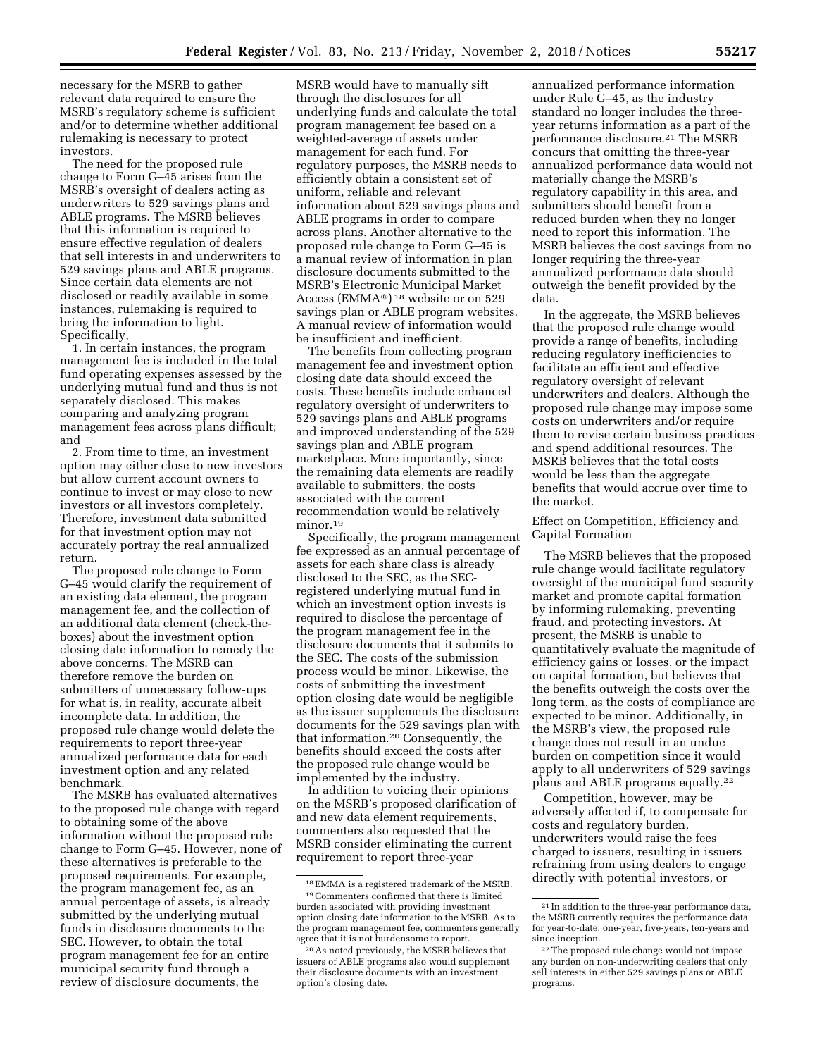necessary for the MSRB to gather relevant data required to ensure the MSRB's regulatory scheme is sufficient and/or to determine whether additional rulemaking is necessary to protect investors.

The need for the proposed rule change to Form G–45 arises from the MSRB's oversight of dealers acting as underwriters to 529 savings plans and ABLE programs. The MSRB believes that this information is required to ensure effective regulation of dealers that sell interests in and underwriters to 529 savings plans and ABLE programs. Since certain data elements are not disclosed or readily available in some instances, rulemaking is required to bring the information to light. Specifically,

1. In certain instances, the program management fee is included in the total fund operating expenses assessed by the underlying mutual fund and thus is not separately disclosed. This makes comparing and analyzing program management fees across plans difficult; and

2. From time to time, an investment option may either close to new investors but allow current account owners to continue to invest or may close to new investors or all investors completely. Therefore, investment data submitted for that investment option may not accurately portray the real annualized return.

The proposed rule change to Form G–45 would clarify the requirement of an existing data element, the program management fee, and the collection of an additional data element (check-theboxes) about the investment option closing date information to remedy the above concerns. The MSRB can therefore remove the burden on submitters of unnecessary follow-ups for what is, in reality, accurate albeit incomplete data. In addition, the proposed rule change would delete the requirements to report three-year annualized performance data for each investment option and any related benchmark.

The MSRB has evaluated alternatives to the proposed rule change with regard to obtaining some of the above information without the proposed rule change to Form G–45. However, none of these alternatives is preferable to the proposed requirements. For example, the program management fee, as an annual percentage of assets, is already submitted by the underlying mutual funds in disclosure documents to the SEC. However, to obtain the total program management fee for an entire municipal security fund through a review of disclosure documents, the

MSRB would have to manually sift through the disclosures for all underlying funds and calculate the total program management fee based on a weighted-average of assets under management for each fund. For regulatory purposes, the MSRB needs to efficiently obtain a consistent set of uniform, reliable and relevant information about 529 savings plans and ABLE programs in order to compare across plans. Another alternative to the proposed rule change to Form G–45 is a manual review of information in plan disclosure documents submitted to the MSRB's Electronic Municipal Market Access (EMMA®) 18 website or on 529 savings plan or ABLE program websites. A manual review of information would be insufficient and inefficient.

The benefits from collecting program management fee and investment option closing date data should exceed the costs. These benefits include enhanced regulatory oversight of underwriters to 529 savings plans and ABLE programs and improved understanding of the 529 savings plan and ABLE program marketplace. More importantly, since the remaining data elements are readily available to submitters, the costs associated with the current recommendation would be relatively minor.19

Specifically, the program management fee expressed as an annual percentage of assets for each share class is already disclosed to the SEC, as the SECregistered underlying mutual fund in which an investment option invests is required to disclose the percentage of the program management fee in the disclosure documents that it submits to the SEC. The costs of the submission process would be minor. Likewise, the costs of submitting the investment option closing date would be negligible as the issuer supplements the disclosure documents for the 529 savings plan with that information.20 Consequently, the benefits should exceed the costs after the proposed rule change would be implemented by the industry.

In addition to voicing their opinions on the MSRB's proposed clarification of and new data element requirements, commenters also requested that the MSRB consider eliminating the current requirement to report three-year

annualized performance information under Rule G–45, as the industry standard no longer includes the threeyear returns information as a part of the performance disclosure.21 The MSRB concurs that omitting the three-year annualized performance data would not materially change the MSRB's regulatory capability in this area, and submitters should benefit from a reduced burden when they no longer need to report this information. The MSRB believes the cost savings from no longer requiring the three-year annualized performance data should outweigh the benefit provided by the data.

In the aggregate, the MSRB believes that the proposed rule change would provide a range of benefits, including reducing regulatory inefficiencies to facilitate an efficient and effective regulatory oversight of relevant underwriters and dealers. Although the proposed rule change may impose some costs on underwriters and/or require them to revise certain business practices and spend additional resources. The MSRB believes that the total costs would be less than the aggregate benefits that would accrue over time to the market.

Effect on Competition, Efficiency and Capital Formation

The MSRB believes that the proposed rule change would facilitate regulatory oversight of the municipal fund security market and promote capital formation by informing rulemaking, preventing fraud, and protecting investors. At present, the MSRB is unable to quantitatively evaluate the magnitude of efficiency gains or losses, or the impact on capital formation, but believes that the benefits outweigh the costs over the long term, as the costs of compliance are expected to be minor. Additionally, in the MSRB's view, the proposed rule change does not result in an undue burden on competition since it would apply to all underwriters of 529 savings plans and ABLE programs equally.22

Competition, however, may be adversely affected if, to compensate for costs and regulatory burden, underwriters would raise the fees charged to issuers, resulting in issuers refraining from using dealers to engage directly with potential investors, or

<sup>18</sup>EMMA is a registered trademark of the MSRB. 19Commenters confirmed that there is limited burden associated with providing investment option closing date information to the MSRB. As to the program management fee, commenters generally agree that it is not burdensome to report.

<sup>20</sup>As noted previously, the MSRB believes that issuers of ABLE programs also would supplement their disclosure documents with an investment option's closing date.

<sup>21</sup> In addition to the three-year performance data, the MSRB currently requires the performance data for year-to-date, one-year, five-years, ten-years and since inception.

<sup>22</sup>The proposed rule change would not impose any burden on non-underwriting dealers that only sell interests in either 529 savings plans or ABLE programs.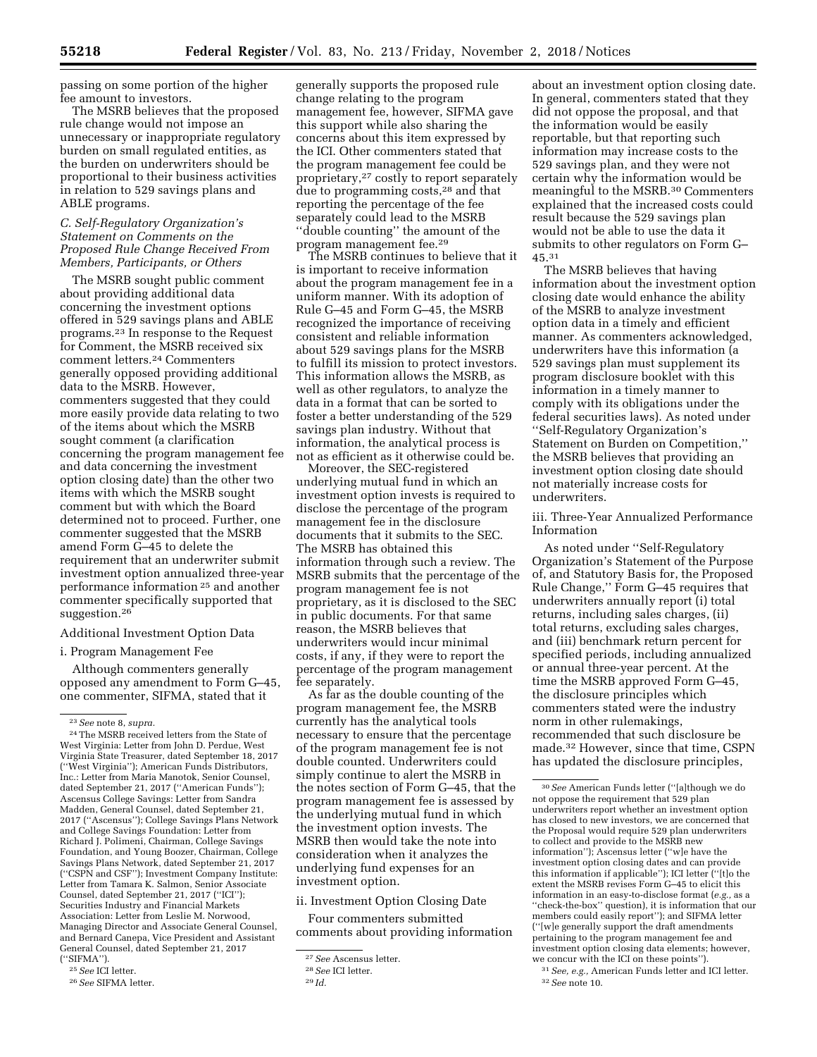passing on some portion of the higher fee amount to investors.

The MSRB believes that the proposed rule change would not impose an unnecessary or inappropriate regulatory burden on small regulated entities, as the burden on underwriters should be proportional to their business activities in relation to 529 savings plans and ABLE programs.

## *C. Self-Regulatory Organization's Statement on Comments on the Proposed Rule Change Received From Members, Participants, or Others*

The MSRB sought public comment about providing additional data concerning the investment options offered in 529 savings plans and ABLE programs.23 In response to the Request for Comment, the MSRB received six comment letters.24 Commenters generally opposed providing additional data to the MSRB. However, commenters suggested that they could more easily provide data relating to two of the items about which the MSRB sought comment (a clarification concerning the program management fee and data concerning the investment option closing date) than the other two items with which the MSRB sought comment but with which the Board determined not to proceed. Further, one commenter suggested that the MSRB amend Form G–45 to delete the requirement that an underwriter submit investment option annualized three-year performance information 25 and another commenter specifically supported that suggestion.26

Additional Investment Option Data

### i. Program Management Fee

Although commenters generally opposed any amendment to Form G–45, one commenter, SIFMA, stated that it

generally supports the proposed rule change relating to the program management fee, however, SIFMA gave this support while also sharing the concerns about this item expressed by the ICI. Other commenters stated that the program management fee could be proprietary,27 costly to report separately due to programming costs,28 and that reporting the percentage of the fee separately could lead to the MSRB ''double counting'' the amount of the program management fee.29

The MSRB continues to believe that it is important to receive information about the program management fee in a uniform manner. With its adoption of Rule G–45 and Form G–45, the MSRB recognized the importance of receiving consistent and reliable information about 529 savings plans for the MSRB to fulfill its mission to protect investors. This information allows the MSRB, as well as other regulators, to analyze the data in a format that can be sorted to foster a better understanding of the 529 savings plan industry. Without that information, the analytical process is not as efficient as it otherwise could be.

Moreover, the SEC-registered underlying mutual fund in which an investment option invests is required to disclose the percentage of the program management fee in the disclosure documents that it submits to the SEC. The MSRB has obtained this information through such a review. The MSRB submits that the percentage of the program management fee is not proprietary, as it is disclosed to the SEC in public documents. For that same reason, the MSRB believes that underwriters would incur minimal costs, if any, if they were to report the percentage of the program management fee separately.

As far as the double counting of the program management fee, the MSRB currently has the analytical tools necessary to ensure that the percentage of the program management fee is not double counted. Underwriters could simply continue to alert the MSRB in the notes section of Form G–45, that the program management fee is assessed by the underlying mutual fund in which the investment option invests. The MSRB then would take the note into consideration when it analyzes the underlying fund expenses for an investment option.

ii. Investment Option Closing Date

Four commenters submitted comments about providing information

about an investment option closing date. In general, commenters stated that they did not oppose the proposal, and that the information would be easily reportable, but that reporting such information may increase costs to the 529 savings plan, and they were not certain why the information would be meaningful to the MSRB.30 Commenters explained that the increased costs could result because the 529 savings plan would not be able to use the data it submits to other regulators on Form G– 45.31

The MSRB believes that having information about the investment option closing date would enhance the ability of the MSRB to analyze investment option data in a timely and efficient manner. As commenters acknowledged, underwriters have this information (a 529 savings plan must supplement its program disclosure booklet with this information in a timely manner to comply with its obligations under the federal securities laws). As noted under ''Self-Regulatory Organization's Statement on Burden on Competition,'' the MSRB believes that providing an investment option closing date should not materially increase costs for underwriters.

iii. Three-Year Annualized Performance Information

As noted under ''Self-Regulatory Organization's Statement of the Purpose of, and Statutory Basis for, the Proposed Rule Change,'' Form G–45 requires that underwriters annually report (i) total returns, including sales charges, (ii) total returns, excluding sales charges, and (iii) benchmark return percent for specified periods, including annualized or annual three-year percent. At the time the MSRB approved Form G–45, the disclosure principles which commenters stated were the industry norm in other rulemakings, recommended that such disclosure be made.32 However, since that time, CSPN has updated the disclosure principles,

<sup>23</sup>*See* note 8, *supra.* 

<sup>24</sup>The MSRB received letters from the State of West Virginia: Letter from John D. Perdue, West Virginia State Treasurer, dated September 18, 2017 (''West Virginia''); American Funds Distributors, Inc.: Letter from Maria Manotok, Senior Counsel, dated September 21, 2017 (''American Funds''); Ascensus College Savings: Letter from Sandra Madden, General Counsel, dated September 21, 2017 (''Ascensus''); College Savings Plans Network and College Savings Foundation: Letter from Richard J. Polimeni, Chairman, College Savings Foundation, and Young Boozer, Chairman, College Savings Plans Network, dated September 21, 2017 (''CSPN and CSF''); Investment Company Institute: Letter from Tamara K. Salmon, Senior Associate Counsel, dated September 21, 2017 (''ICI''); Securities Industry and Financial Markets Association: Letter from Leslie M. Norwood, Managing Director and Associate General Counsel, and Bernard Canepa, Vice President and Assistant General Counsel, dated September 21, 2017 (''SIFMA'').

<sup>25</sup>*See* ICI letter.

<sup>26</sup>*See* SIFMA letter.

<sup>27</sup>*See* Ascensus letter.

<sup>28</sup>*See* ICI letter.

<sup>29</sup> *Id.* 

<sup>30</sup>*See* American Funds letter (''[a]though we do not oppose the requirement that 529 plan underwriters report whether an investment option has closed to new investors, we are concerned that the Proposal would require 529 plan underwriters to collect and provide to the MSRB new information''); Ascensus letter (''w]e have the investment option closing dates and can provide this information if applicable''); ICI letter (''[t]o the extent the MSRB revises Form G–45 to elicit this information in an easy-to-disclose format (*e.g.,* as a ''check-the-box'' question), it is information that our members could easily report''); and SIFMA letter (''[w]e generally support the draft amendments pertaining to the program management fee and investment option closing data elements; however, we concur with the ICI on these points'').

<sup>31</sup>*See, e.g.,* American Funds letter and ICI letter. 32*See* note 10.